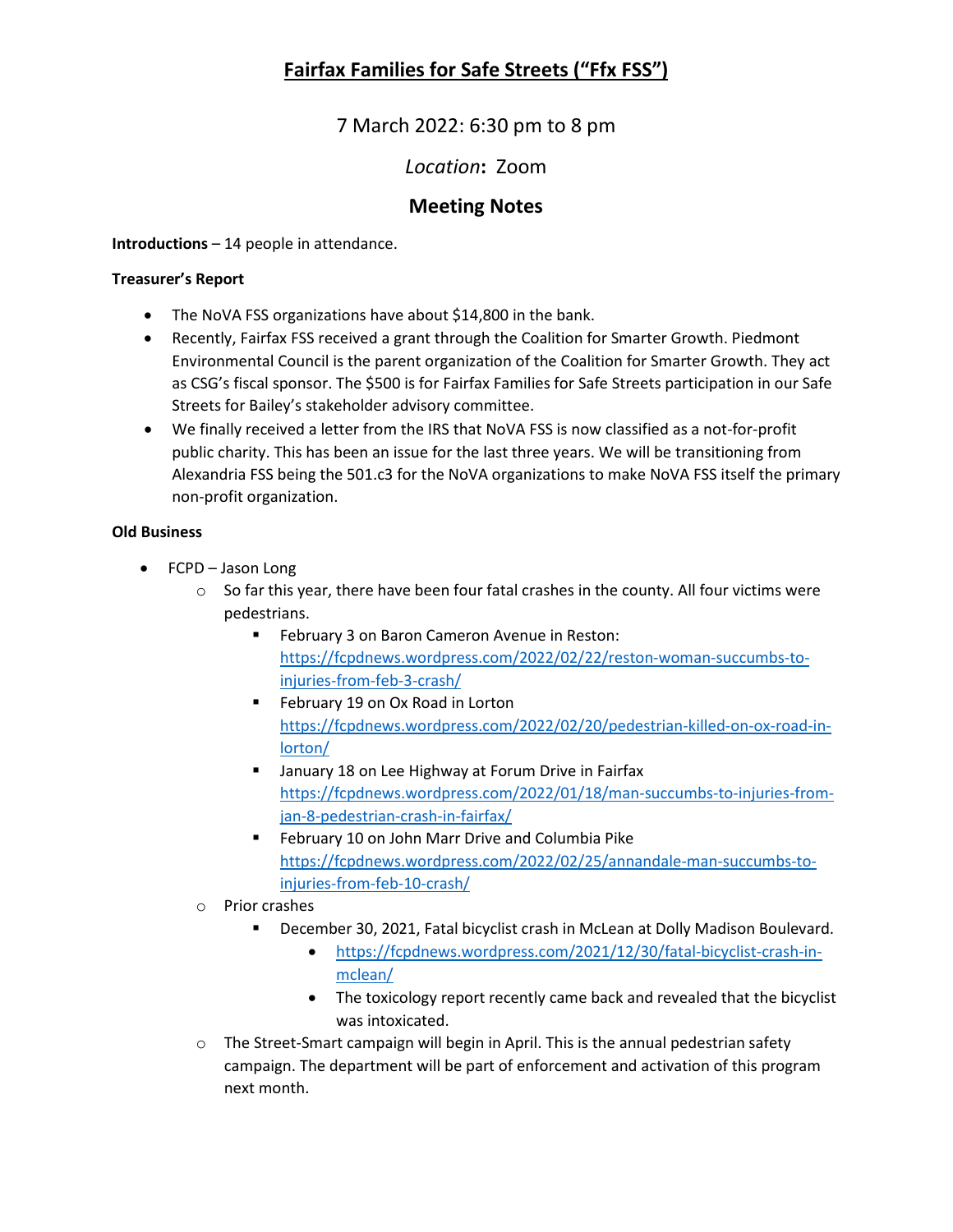7 March 2022: 6:30 pm to 8 pm

## *Location***:** Zoom

### **Meeting Notes**

**Introductions** – 14 people in attendance.

#### **Treasurer's Report**

- The NoVA FSS organizations have about \$14,800 in the bank.
- Recently, Fairfax FSS received a grant through the Coalition for Smarter Growth. Piedmont Environmental Council is the parent organization of the Coalition for Smarter Growth. They act as CSG's fiscal sponsor. The \$500 is for Fairfax Families for Safe Streets participation in our Safe Streets for Bailey's stakeholder advisory committee.
- We finally received a letter from the IRS that NoVA FSS is now classified as a not-for-profit public charity. This has been an issue for the last three years. We will be transitioning from Alexandria FSS being the 501.c3 for the NoVA organizations to make NoVA FSS itself the primary non-profit organization.

#### **Old Business**

- FCPD Jason Long
	- $\circ$  So far this year, there have been four fatal crashes in the county. All four victims were pedestrians.
		- **February 3 on Baron Cameron Avenue in Reston:** [https://fcpdnews.wordpress.com/2022/02/22/reston-woman-succumbs-to](https://fcpdnews.wordpress.com/2022/02/22/reston-woman-succumbs-to-injuries-from-feb-3-crash/)[injuries-from-feb-3-crash/](https://fcpdnews.wordpress.com/2022/02/22/reston-woman-succumbs-to-injuries-from-feb-3-crash/)
		- **February 19 on Ox Road in Lorton** [https://fcpdnews.wordpress.com/2022/02/20/pedestrian-killed-on-ox-road-in](https://fcpdnews.wordpress.com/2022/02/20/pedestrian-killed-on-ox-road-in-lorton/)[lorton/](https://fcpdnews.wordpress.com/2022/02/20/pedestrian-killed-on-ox-road-in-lorton/)
		- **January 18 on Lee Highway at Forum Drive in Fairfax** [https://fcpdnews.wordpress.com/2022/01/18/man-succumbs-to-injuries-from](https://fcpdnews.wordpress.com/2022/01/18/man-succumbs-to-injuries-from-jan-8-pedestrian-crash-in-fairfax/)[jan-8-pedestrian-crash-in-fairfax/](https://fcpdnews.wordpress.com/2022/01/18/man-succumbs-to-injuries-from-jan-8-pedestrian-crash-in-fairfax/)
		- February 10 on John Marr Drive and Columbia Pike [https://fcpdnews.wordpress.com/2022/02/25/annandale-man-succumbs-to](https://fcpdnews.wordpress.com/2022/02/25/annandale-man-succumbs-to-injuries-from-feb-10-crash/)[injuries-from-feb-10-crash/](https://fcpdnews.wordpress.com/2022/02/25/annandale-man-succumbs-to-injuries-from-feb-10-crash/)
	- o Prior crashes
		- December 30, 2021, Fatal bicyclist crash in McLean at Dolly Madison Boulevard.
			- [https://fcpdnews.wordpress.com/2021/12/30/fatal-bicyclist-crash-in](https://fcpdnews.wordpress.com/2021/12/30/fatal-bicyclist-crash-in-mclean/)[mclean/](https://fcpdnews.wordpress.com/2021/12/30/fatal-bicyclist-crash-in-mclean/)
			- The toxicology report recently came back and revealed that the bicyclist was intoxicated.
	- $\circ$  The Street-Smart campaign will begin in April. This is the annual pedestrian safety campaign. The department will be part of enforcement and activation of this program next month.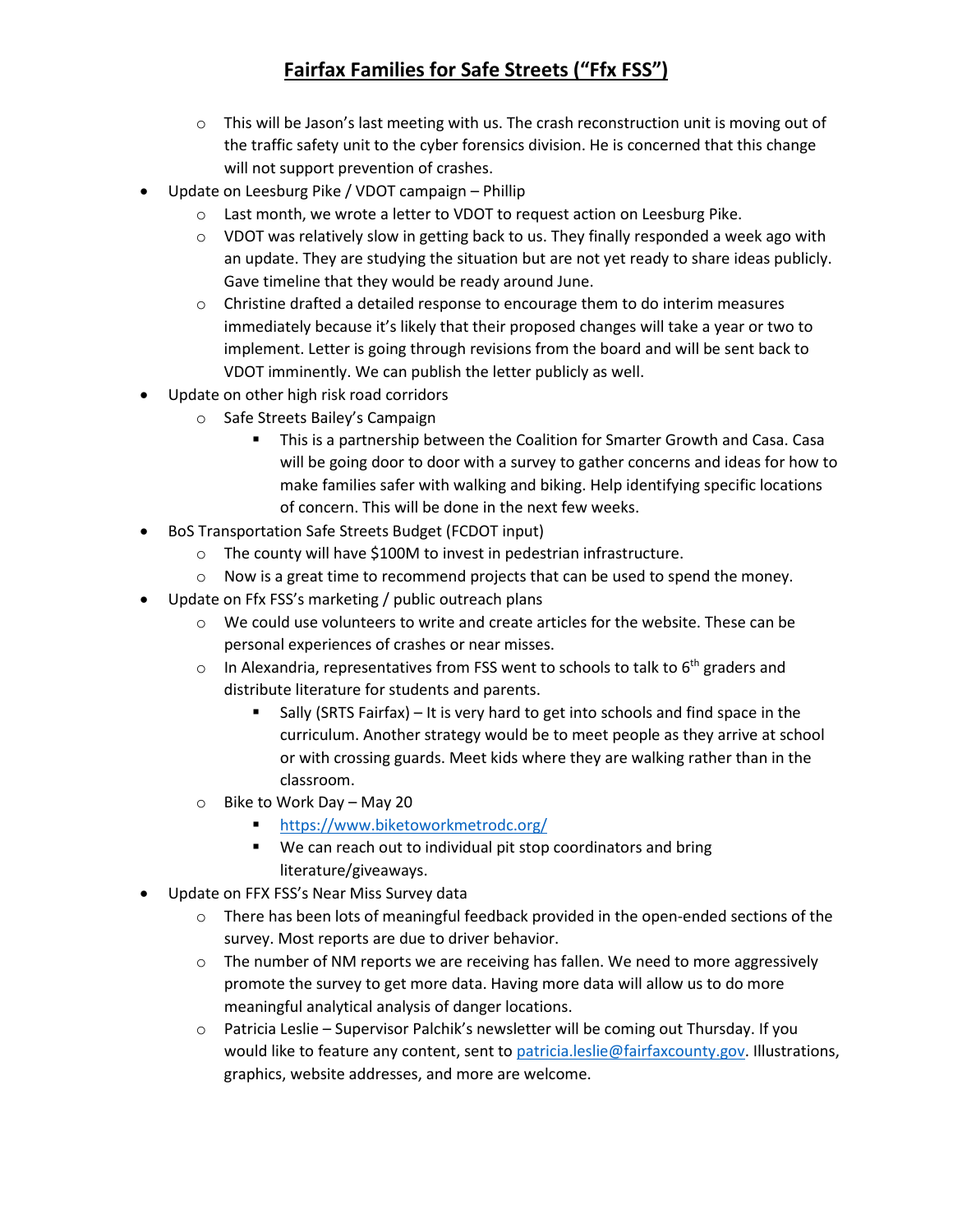- $\circ$  This will be Jason's last meeting with us. The crash reconstruction unit is moving out of the traffic safety unit to the cyber forensics division. He is concerned that this change will not support prevention of crashes.
- Update on Leesburg Pike / VDOT campaign Phillip
	- o Last month, we wrote a letter to VDOT to request action on Leesburg Pike.
	- $\circ$  VDOT was relatively slow in getting back to us. They finally responded a week ago with an update. They are studying the situation but are not yet ready to share ideas publicly. Gave timeline that they would be ready around June.
	- $\circ$  Christine drafted a detailed response to encourage them to do interim measures immediately because it's likely that their proposed changes will take a year or two to implement. Letter is going through revisions from the board and will be sent back to VDOT imminently. We can publish the letter publicly as well.
- Update on other high risk road corridors
	- o Safe Streets Bailey's Campaign
		- This is a partnership between the Coalition for Smarter Growth and Casa. Casa will be going door to door with a survey to gather concerns and ideas for how to make families safer with walking and biking. Help identifying specific locations of concern. This will be done in the next few weeks.
- BoS Transportation Safe Streets Budget (FCDOT input)
	- o The county will have \$100M to invest in pedestrian infrastructure.
	- $\circ$  Now is a great time to recommend projects that can be used to spend the money.
- Update on Ffx FSS's marketing / public outreach plans
	- $\circ$  We could use volunteers to write and create articles for the website. These can be personal experiences of crashes or near misses.
	- $\circ$  In Alexandria, representatives from FSS went to schools to talk to  $6<sup>th</sup>$  graders and distribute literature for students and parents.
		- Sally (SRTS Fairfax) It is very hard to get into schools and find space in the curriculum. Another strategy would be to meet people as they arrive at school or with crossing guards. Meet kids where they are walking rather than in the classroom.
	- o Bike to Work Day May 20
		- <https://www.biketoworkmetrodc.org/>
		- We can reach out to individual pit stop coordinators and bring literature/giveaways.
- Update on FFX FSS's Near Miss Survey data
	- o There has been lots of meaningful feedback provided in the open-ended sections of the survey. Most reports are due to driver behavior.
	- $\circ$  The number of NM reports we are receiving has fallen. We need to more aggressively promote the survey to get more data. Having more data will allow us to do more meaningful analytical analysis of danger locations.
	- $\circ$  Patricia Leslie Supervisor Palchik's newsletter will be coming out Thursday. If you would like to feature any content, sent to [patricia.leslie@fairfaxcounty.gov.](mailto:patricia.leslie@fairfaxcounty.gov) Illustrations, graphics, website addresses, and more are welcome.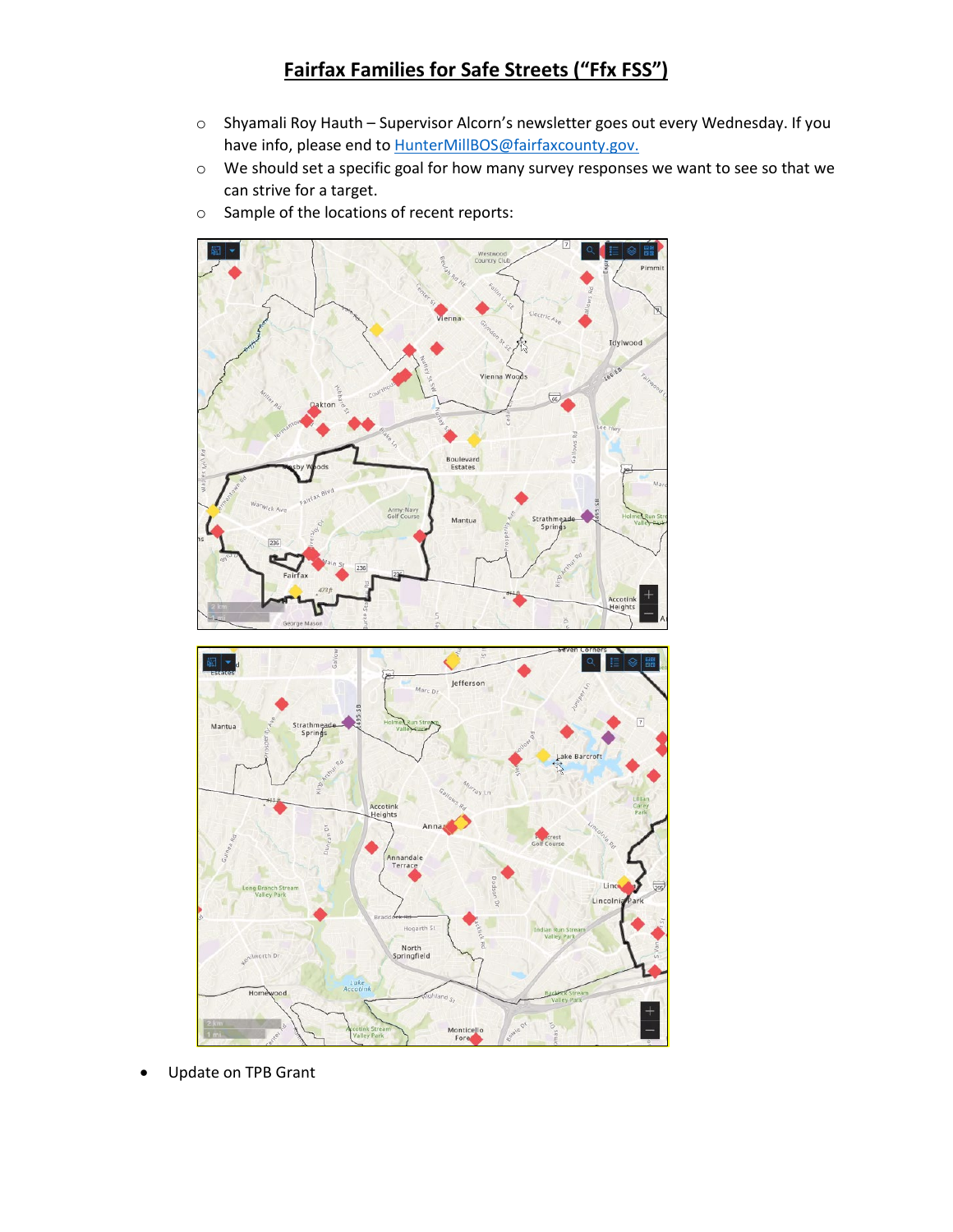- o Shyamali Roy Hauth Supervisor Alcorn's newsletter goes out every Wednesday. If you have info, please end to **HunterMillBOS@fairfaxcounty.gov.**
- o We should set a specific goal for how many survey responses we want to see so that we can strive for a target.
- o Sample of the locations of recent reports:





• Update on TPB Grant